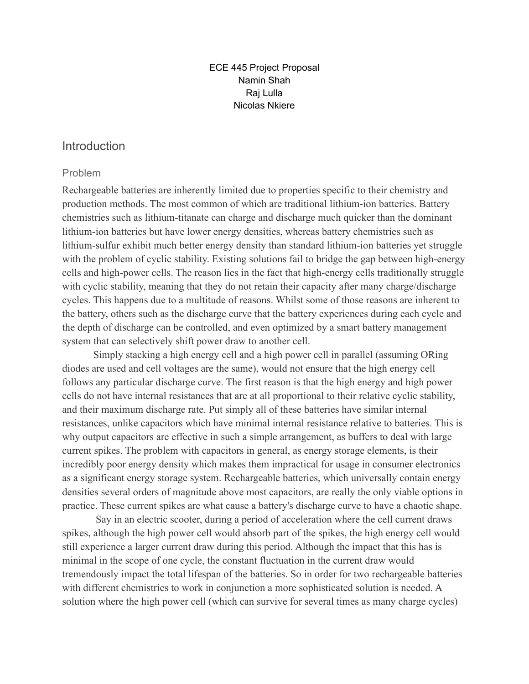#### ECE 445 Project Proposal Namin Shah Raj Lulla Nicolas Nkiere

## **Introduction**

### Problem

Rechargeable batteries are inherently limited due to properties specific to their chemistry and production methods. The most common of which are traditional lithium-ion batteries. Battery chemistries such as lithium-titanate can charge and discharge much quicker than the dominant lithium-ion batteries but have lower energy densities, whereas battery chemistries such as lithium-sulfur exhibit much better energy density than standard lithium-ion batteries yet struggle with the problem of cyclic stability. Existing solutions fail to bridge the gap between high-energy cells and high-power cells. The reason lies in the fact that high-energy cells traditionally struggle with cyclic stability, meaning that they do not retain their capacity after many charge/discharge cycles. This happens due to a multitude of reasons. Whilst some of those reasons are inherent to the battery, others such as the discharge curve that the battery experiences during each cycle and the depth of discharge can be controlled, and even optimized by a smart battery management system that can selectively shift power draw to another cell.

Simply stacking a high energy cell and a high power cell in parallel (assuming ORing diodes are used and cell voltages are the same), would not ensure that the high energy cell follows any particular discharge curve. The first reason is that the high energy and high power cells do not have internal resistances that are at all proportional to their relative cyclic stability, and their maximum discharge rate. Put simply all of these batteries have similar internal resistances, unlike capacitors which have minimal internal resistance relative to batteries. This is why output capacitors are effective in such a simple arrangement, as buffers to deal with large current spikes. The problem with capacitors in general, as energy storage elements, is their incredibly poor energy density which makes them impractical for usage in consumer electronics as a significant energy storage system. Rechargeable batteries, which universally contain energy densities several orders of magnitude above most capacitors, are really the only viable options in practice. These current spikes are what cause a battery's discharge curve to have a chaotic shape.

Say in an electric scooter, during a period of acceleration where the cell current draws spikes, although the high power cell would absorb part of the spikes, the high energy cell would still experience a larger current draw during this period. Although the impact that this has is minimal in the scope of one cycle, the constant fluctuation in the current draw would tremendously impact the total lifespan of the batteries. So in order for two rechargeable batteries with different chemistries to work in conjunction a more sophisticated solution is needed. A solution where the high power cell (which can survive for several times as many charge cycles)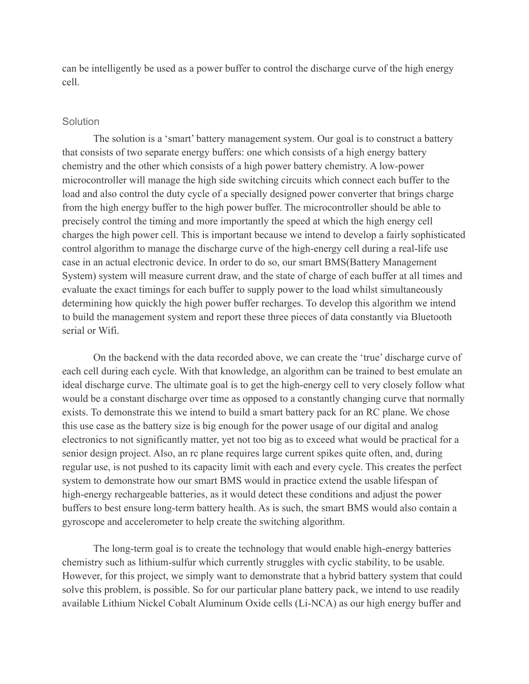can be intelligently be used as a power buffer to control the discharge curve of the high energy cell.

#### **Solution**

The solution is a 'smart' battery management system. Our goal is to construct a battery that consists of two separate energy buffers: one which consists of a high energy battery chemistry and the other which consists of a high power battery chemistry. A low-power microcontroller will manage the high side switching circuits which connect each buffer to the load and also control the duty cycle of a specially designed power converter that brings charge from the high energy buffer to the high power buffer. The microcontroller should be able to precisely control the timing and more importantly the speed at which the high energy cell charges the high power cell. This is important because we intend to develop a fairly sophisticated control algorithm to manage the discharge curve of the high-energy cell during a real-life use case in an actual electronic device. In order to do so, our smart BMS(Battery Management System) system will measure current draw, and the state of charge of each buffer at all times and evaluate the exact timings for each buffer to supply power to the load whilst simultaneously determining how quickly the high power buffer recharges. To develop this algorithm we intend to build the management system and report these three pieces of data constantly via Bluetooth serial or Wifi.

On the backend with the data recorded above, we can create the 'true' discharge curve of each cell during each cycle. With that knowledge, an algorithm can be trained to best emulate an ideal discharge curve. The ultimate goal is to get the high-energy cell to very closely follow what would be a constant discharge over time as opposed to a constantly changing curve that normally exists. To demonstrate this we intend to build a smart battery pack for an RC plane. We chose this use case as the battery size is big enough for the power usage of our digital and analog electronics to not significantly matter, yet not too big as to exceed what would be practical for a senior design project. Also, an rc plane requires large current spikes quite often, and, during regular use, is not pushed to its capacity limit with each and every cycle. This creates the perfect system to demonstrate how our smart BMS would in practice extend the usable lifespan of high-energy rechargeable batteries, as it would detect these conditions and adjust the power buffers to best ensure long-term battery health. As is such, the smart BMS would also contain a gyroscope and accelerometer to help create the switching algorithm.

The long-term goal is to create the technology that would enable high-energy batteries chemistry such as lithium-sulfur which currently struggles with cyclic stability, to be usable. However, for this project, we simply want to demonstrate that a hybrid battery system that could solve this problem, is possible. So for our particular plane battery pack, we intend to use readily available Lithium Nickel Cobalt Aluminum Oxide cells (Li-NCA) as our high energy buffer and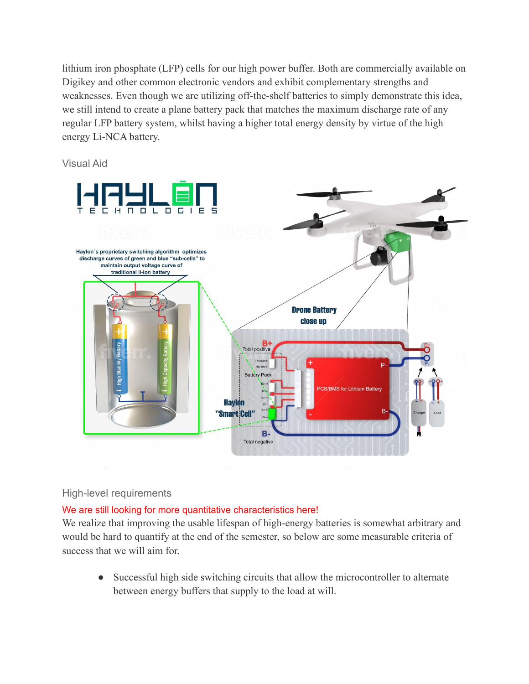lithium iron phosphate (LFP) cells for our high power buffer. Both are commercially available on Digikey and other common electronic vendors and exhibit complementary strengths and weaknesses. Even though we are utilizing off-the-shelf batteries to simply demonstrate this idea, we still intend to create a plane battery pack that matches the maximum discharge rate of any regular LFP battery system, whilst having a higher total energy density by virtue of the high energy Li-NCA battery.

Visual Aid



### High-level requirements

### We are still looking for more quantitative characteristics here!

We realize that improving the usable lifespan of high-energy batteries is somewhat arbitrary and would be hard to quantify at the end of the semester, so below are some measurable criteria of success that we will aim for.

● Successful high side switching circuits that allow the microcontroller to alternate between energy buffers that supply to the load at will.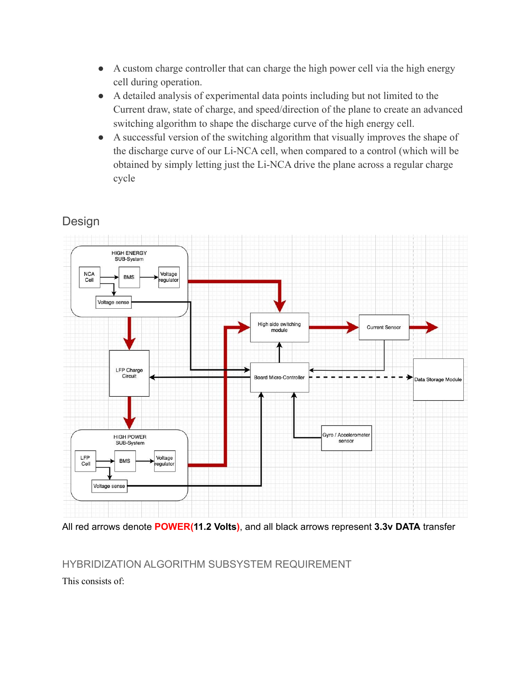- A custom charge controller that can charge the high power cell via the high energy cell during operation.
- A detailed analysis of experimental data points including but not limited to the Current draw, state of charge, and speed/direction of the plane to create an advanced switching algorithm to shape the discharge curve of the high energy cell.
- A successful version of the switching algorithm that visually improves the shape of the discharge curve of our Li-NCA cell, when compared to a control (which will be obtained by simply letting just the Li-NCA drive the plane across a regular charge cycle

# Design



All red arrows denote **POWER(11.2 Volts)**, and all black arrows represent **3.3v DATA** transfer

## HYBRIDIZATION ALGORITHM SUBSYSTEM REQUIREMENT

This consists of: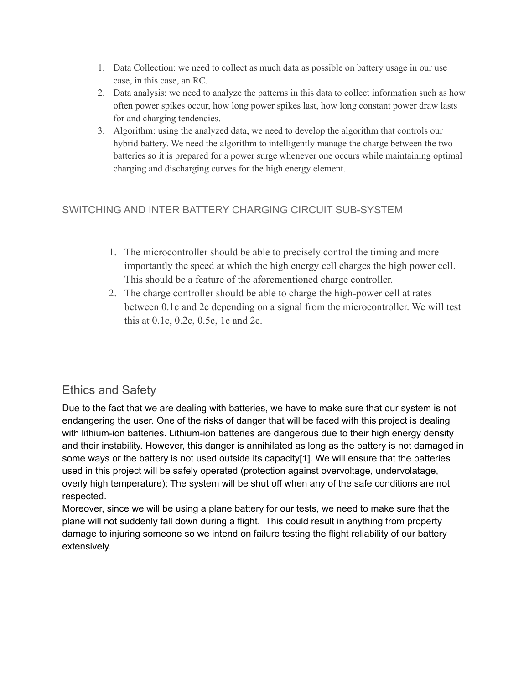- 1. Data Collection: we need to collect as much data as possible on battery usage in our use case, in this case, an RC.
- 2. Data analysis: we need to analyze the patterns in this data to collect information such as how often power spikes occur, how long power spikes last, how long constant power draw lasts for and charging tendencies.
- 3. Algorithm: using the analyzed data, we need to develop the algorithm that controls our hybrid battery. We need the algorithm to intelligently manage the charge between the two batteries so it is prepared for a power surge whenever one occurs while maintaining optimal charging and discharging curves for the high energy element.

## SWITCHING AND INTER BATTERY CHARGING CIRCUIT SUB-SYSTEM

- 1. The microcontroller should be able to precisely control the timing and more importantly the speed at which the high energy cell charges the high power cell. This should be a feature of the aforementioned charge controller.
- 2. The charge controller should be able to charge the high-power cell at rates between 0.1c and 2c depending on a signal from the microcontroller. We will test this at 0.1c, 0.2c, 0.5c, 1c and 2c.

## Ethics and Safety

Due to the fact that we are dealing with batteries, we have to make sure that our system is not endangering the user. One of the risks of danger that will be faced with this project is dealing with lithium-ion batteries. Lithium-ion batteries are dangerous due to their high energy density and their instability. However, this danger is annihilated as long as the battery is not damaged in some ways or the battery is not used outside its capacity[1]. We will ensure that the batteries used in this project will be safely operated (protection against overvoltage, undervolatage, overly high temperature); The system will be shut off when any of the safe conditions are not respected.

Moreover, since we will be using a plane battery for our tests, we need to make sure that the plane will not suddenly fall down during a flight. This could result in anything from property damage to injuring someone so we intend on failure testing the flight reliability of our battery extensively.